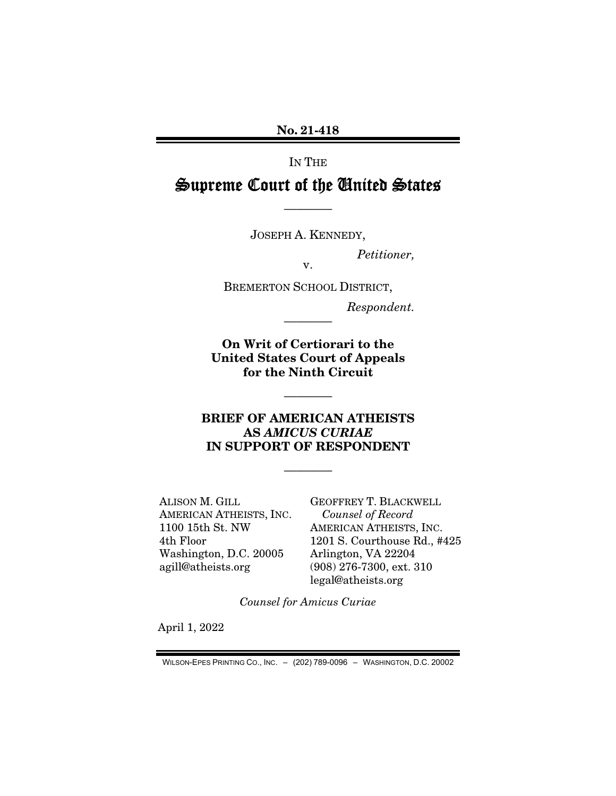No. 21-418

IN THE

# Supreme Court of the United States

JOSEPH A. KENNEDY,

————

*Petitioner,* 

v.

BREMERTON SCHOOL DISTRICT,

*Respondent.* 

On Writ of Certiorari to the United States Court of Appeals for the Ninth Circuit

————

## BRIEF OF AMERICAN ATHEISTS AS *AMICUS CURIAE* IN SUPPORT OF RESPONDENT

————

————

ALISON M. GILL AMERICAN ATHEISTS, INC. 1100 15th St. NW 4th Floor Washington, D.C. 20005 agill@atheists.org

GEOFFREY T. BLACKWELL *Counsel of Record*  AMERICAN ATHEISTS, INC. 1201 S. Courthouse Rd., #425 Arlington, VA 22204 (908) 276-7300, ext. 310 legal@atheists.org

*Counsel for Amicus Curiae* 

April 1, 2022

WILSON-EPES PRINTING CO., INC. – (202) 789-0096 – WASHINGTON, D.C. 20002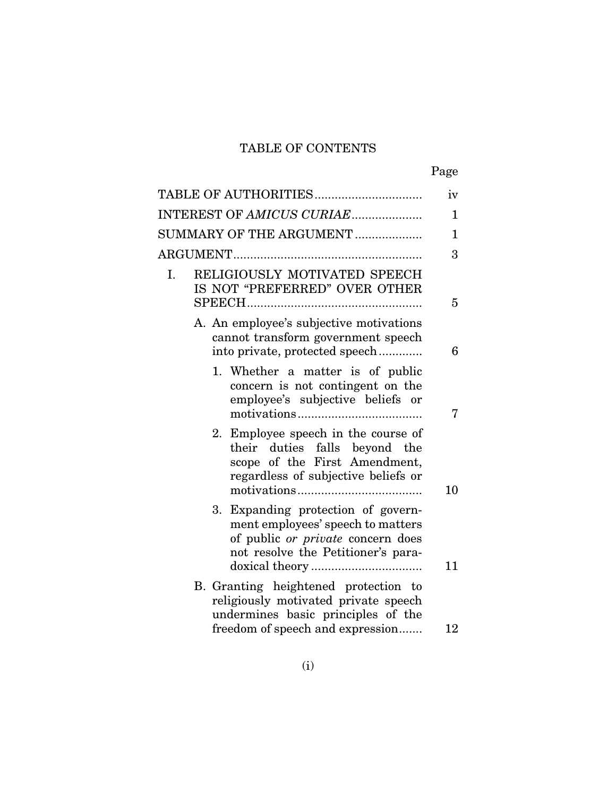## TABLE OF CONTENTS

|--|

| TABLE OF AUTHORITIES                                                                                                                               | iv           |
|----------------------------------------------------------------------------------------------------------------------------------------------------|--------------|
| INTEREST OF AMICUS CURIAE                                                                                                                          | 1            |
| SUMMARY OF THE ARGUMENT                                                                                                                            | $\mathbf{1}$ |
|                                                                                                                                                    | 3            |
| RELIGIOUSLY MOTIVATED SPEECH<br>$\mathbf{I}$ .<br>IS NOT "PREFERRED" OVER OTHER                                                                    | 5            |
| A. An employee's subjective motivations<br>cannot transform government speech<br>into private, protected speech                                    | 6            |
| 1. Whether a matter is of public<br>concern is not contingent on the<br>employee's subjective beliefs or                                           | 7            |
| Employee speech in the course of<br>2.<br>their duties falls beyond the<br>scope of the First Amendment,<br>regardless of subjective beliefs or    | 10           |
| 3. Expanding protection of govern-<br>ment employees' speech to matters<br>of public or private concern does<br>not resolve the Petitioner's para- | 11           |
| B. Granting heightened protection to<br>religiously motivated private speech<br>undermines basic principles of the                                 |              |
| freedom of speech and expression                                                                                                                   | 12           |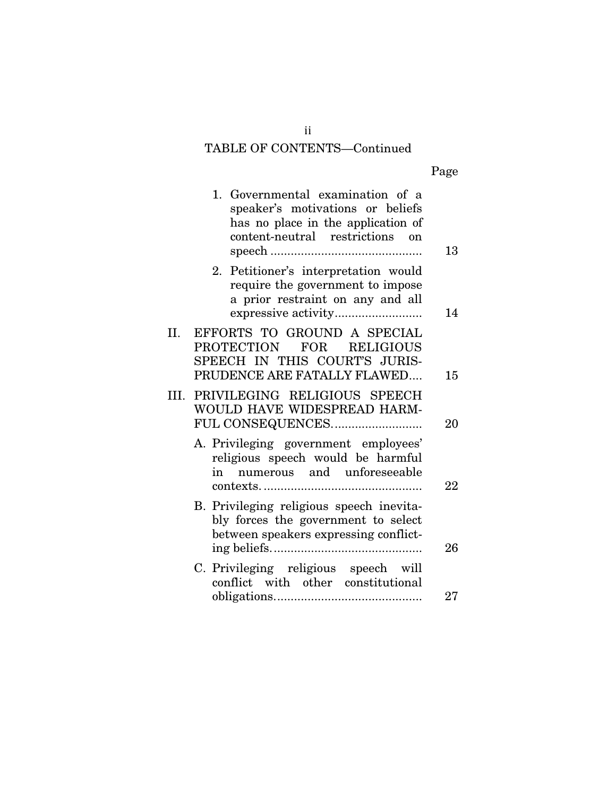# TABLE OF CONTENTS—Continued

| 13     | 1. Governmental examination of a<br>speaker's motivations or beliefs<br>has no place in the application of<br>content-neutral restrictions on |     |
|--------|-----------------------------------------------------------------------------------------------------------------------------------------------|-----|
| 14     | Petitioner's interpretation would<br>2.<br>require the government to impose<br>a prior restraint on any and all                               |     |
| 15     | EFFORTS TO GROUND A SPECIAL<br><b>PROTECTION</b><br>FOR<br><b>RELIGIOUS</b><br>SPEECH IN THIS COURT'S JURIS-<br>PRUDENCE ARE FATALLY FLAWED   | II. |
| 20     | III. PRIVILEGING RELIGIOUS SPEECH<br>WOULD HAVE WIDESPREAD HARM-<br>FUL CONSEQUENCES                                                          |     |
| 22     | A. Privileging government employees'<br>religious speech would be harmful<br>numerous and unforeseeable<br>in                                 |     |
| 26     | B. Privileging religious speech inevita-<br>bly forces the government to select<br>between speakers expressing conflict-                      |     |
| $27\,$ | C. Privileging religious speech will<br>conflict with other constitutional                                                                    |     |
|        |                                                                                                                                               |     |

ii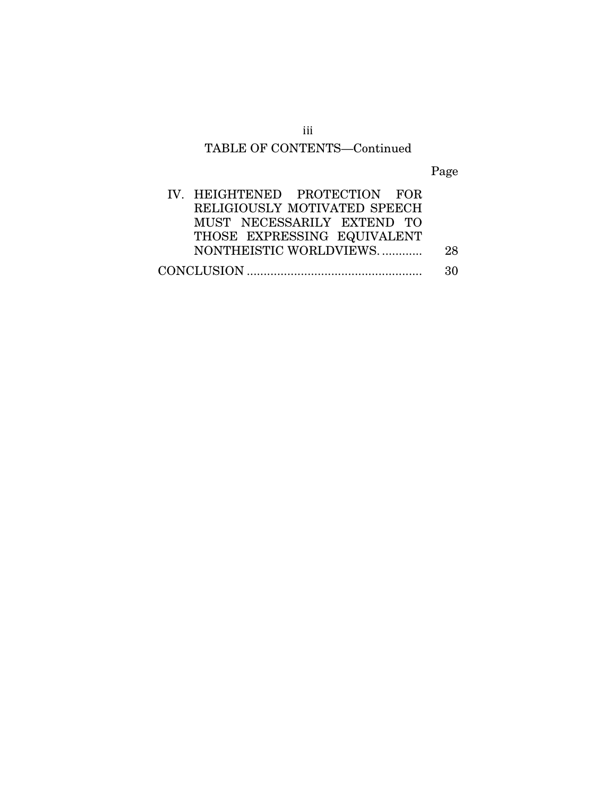## TABLE OF CONTENTS—Continued

Page

| IV. HEIGHTENED PROTECTION FOR |    |
|-------------------------------|----|
| RELIGIOUSLY MOTIVATED SPEECH  |    |
| MUST NECESSARILY EXTEND TO    |    |
| THOSE EXPRESSING EQUIVALENT   |    |
| NONTHEISTIC WORLDVIEWS        | 28 |
|                               | 30 |

iii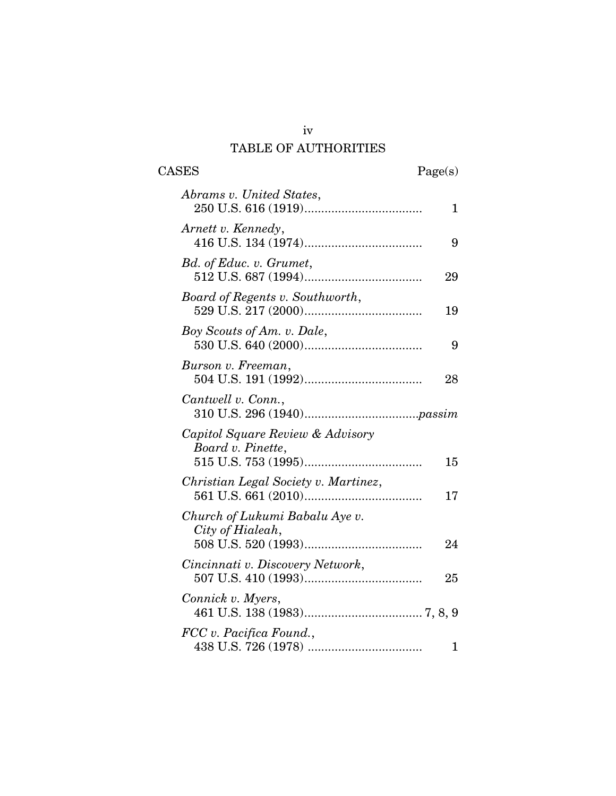# iv TABLE OF AUTHORITIES

| <b>CASES</b><br>Page(s)                               |    |
|-------------------------------------------------------|----|
| Abrams v. United States,                              | 1  |
| Arnett v. Kennedy,                                    | 9  |
| Bd. of Educ. v. Grumet,                               | 29 |
| Board of Regents v. Southworth,                       | 19 |
| Boy Scouts of Am. v. Dale,                            | 9  |
| Burson v. Freeman,                                    | 28 |
| Cantwell v. Conn.,                                    |    |
| Capitol Square Review & Advisory<br>Board v. Pinette, | 15 |
| Christian Legal Society v. Martinez,                  | 17 |
| Church of Lukumi Babalu Aye v.<br>City of Hialeah,    | 24 |
| Cincinnati v. Discovery Network,                      | 25 |
| Connick v. Myers,                                     |    |
| FCC v. Pacifica Found.,                               | 1  |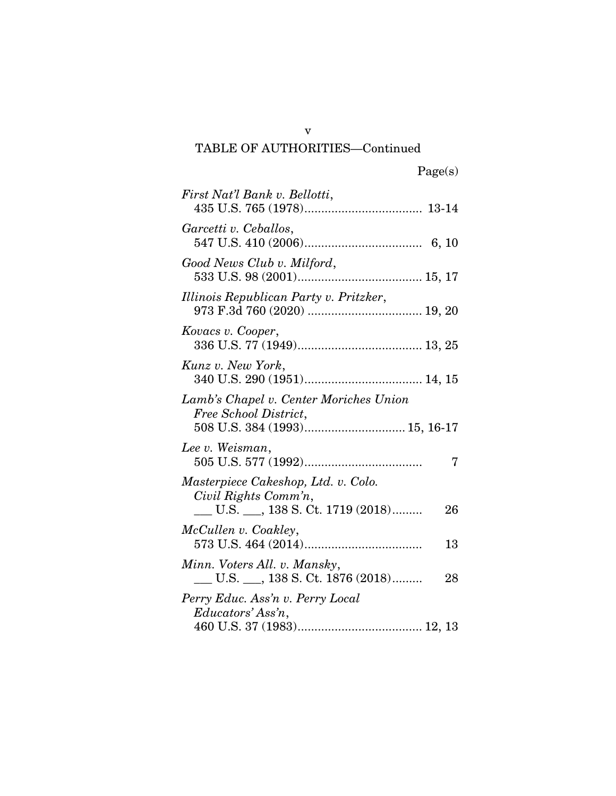## TABLE OF AUTHORITIES—Continued

| First Nat'l Bank v. Bellotti,                                                                       |
|-----------------------------------------------------------------------------------------------------|
| Garcetti v. Ceballos,                                                                               |
| Good News Club v. Milford,                                                                          |
| Illinois Republican Party v. Pritzker,                                                              |
| Kovacs v. Cooper,                                                                                   |
| Kunz v. New York,                                                                                   |
| Lamb's Chapel v. Center Moriches Union<br>Free School District,<br>508 U.S. 384 (1993) 15, 16-17    |
| Lee v. Weisman,<br>7                                                                                |
| Masterpiece Cakeshop, Ltd. v. Colo.<br>Civil Rights Comm'n,<br>L.S. __, 138 S.Ct. 1719 (2018)<br>26 |
| McCullen v. Coakley,<br>13                                                                          |
| Minn. Voters All. v. Mansky,<br>U.S. __, 138 S. Ct. 1876 (2018)<br>28                               |
| Perry Educ. Ass'n v. Perry Local<br>Educators' Ass'n,                                               |

v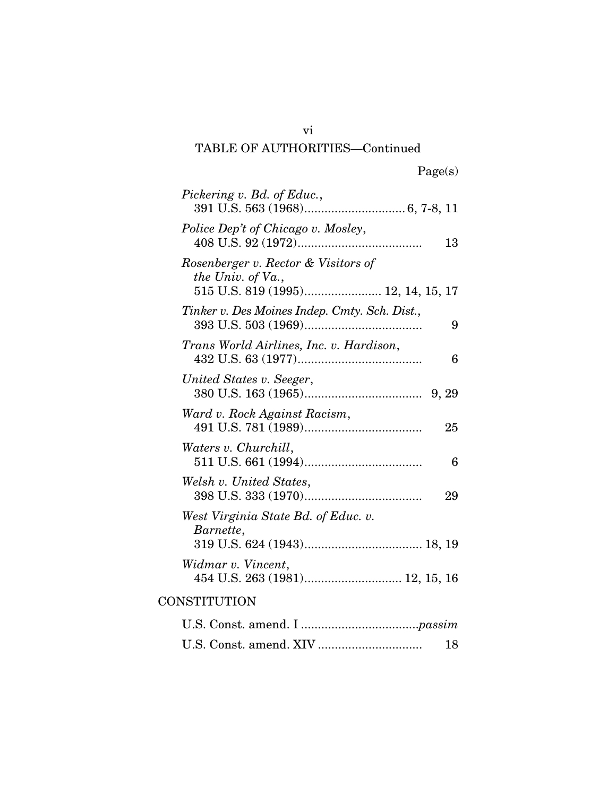## vi TABLE OF AUTHORITIES—Continued

| Pickering v. Bd. of Educ.,                               |
|----------------------------------------------------------|
| Police Dep't of Chicago v. Mosley,                       |
| 13                                                       |
| Rosenberger v. Rector & Visitors of<br>the Univ. of Va., |
| 515 U.S. 819 (1995) 12, 14, 15, 17                       |
| Tinker v. Des Moines Indep. Cmty. Sch. Dist.,<br>9       |
| Trans World Airlines, Inc. v. Hardison,<br>6             |
| United States v. Seeger,                                 |
| Ward v. Rock Against Racism,<br>25                       |
| Waters v. Churchill,<br>6                                |
| Welsh v. United States,<br>29                            |
| West Virginia State Bd. of Educ. v.                      |
| Barnette,                                                |
| Widmar v. Vincent,                                       |
| CONSTITUTION                                             |
|                                                          |
| 18                                                       |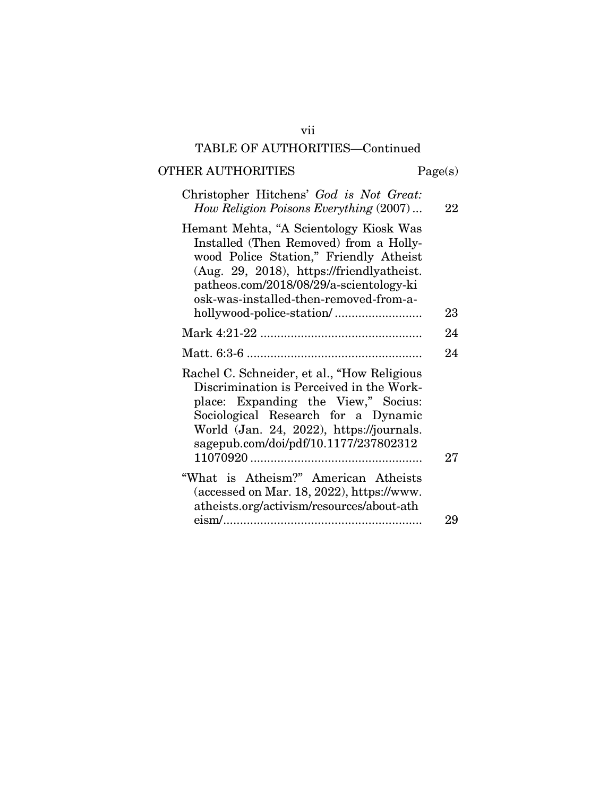## vii TABLE OF AUTHORITIES—Continued

# OTHER AUTHORITIES Page(s)

| Christopher Hitchens' God is Not Great:<br>How Religion Poisons Everything (2007)                                                                                                                                                                            | 22 |
|--------------------------------------------------------------------------------------------------------------------------------------------------------------------------------------------------------------------------------------------------------------|----|
| Hemant Mehta, "A Scientology Kiosk Was<br>Installed (Then Removed) from a Holly-<br>wood Police Station," Friendly Atheist<br>(Aug. 29, 2018), https://friendlyatheist.<br>patheos.com/2018/08/29/a-scientology-ki<br>osk-was-installed-then-removed-from-a- | 23 |
|                                                                                                                                                                                                                                                              |    |
|                                                                                                                                                                                                                                                              | 24 |
|                                                                                                                                                                                                                                                              | 24 |
| Rachel C. Schneider, et al., "How Religious<br>Discrimination is Perceived in the Work-<br>place: Expanding the View," Socius:<br>Sociological Research for a Dynamic<br>World (Jan. 24, 2022), https://journals.<br>sagepub.com/doi/pdf/10.1177/237802312   | 27 |
| "What is Atheism?" American Atheists<br>(accessed on Mar. 18, 2022), https://www.<br>atheists.org/activism/resources/about-ath                                                                                                                               |    |
|                                                                                                                                                                                                                                                              | 29 |
|                                                                                                                                                                                                                                                              |    |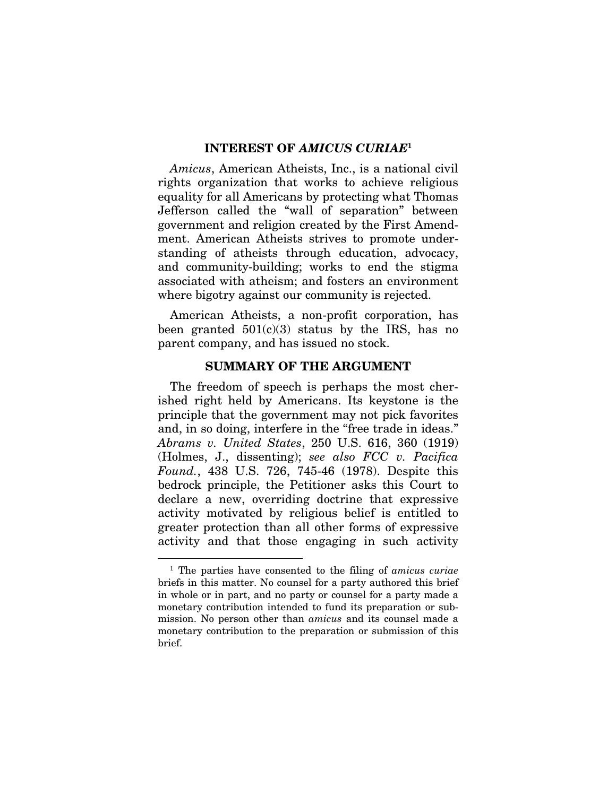#### INTEREST OF *AMICUS CURIAE*<sup>1</sup>

*Amicus*, American Atheists, Inc., is a national civil rights organization that works to achieve religious equality for all Americans by protecting what Thomas Jefferson called the "wall of separation" between government and religion created by the First Amendment. American Atheists strives to promote understanding of atheists through education, advocacy, and community-building; works to end the stigma associated with atheism; and fosters an environment where bigotry against our community is rejected.

American Atheists, a non-profit corporation, has been granted  $501(c)(3)$  status by the IRS, has no parent company, and has issued no stock.

#### SUMMARY OF THE ARGUMENT

The freedom of speech is perhaps the most cherished right held by Americans. Its keystone is the principle that the government may not pick favorites and, in so doing, interfere in the "free trade in ideas." *Abrams v. United States*, 250 U.S. 616, 360 (1919) (Holmes, J., dissenting); *see also FCC v. Pacifica Found.*, 438 U.S. 726, 745-46 (1978). Despite this bedrock principle, the Petitioner asks this Court to declare a new, overriding doctrine that expressive activity motivated by religious belief is entitled to greater protection than all other forms of expressive activity and that those engaging in such activity

<sup>1</sup> The parties have consented to the filing of *amicus curiae* briefs in this matter. No counsel for a party authored this brief in whole or in part, and no party or counsel for a party made a monetary contribution intended to fund its preparation or submission. No person other than *amicus* and its counsel made a monetary contribution to the preparation or submission of this brief.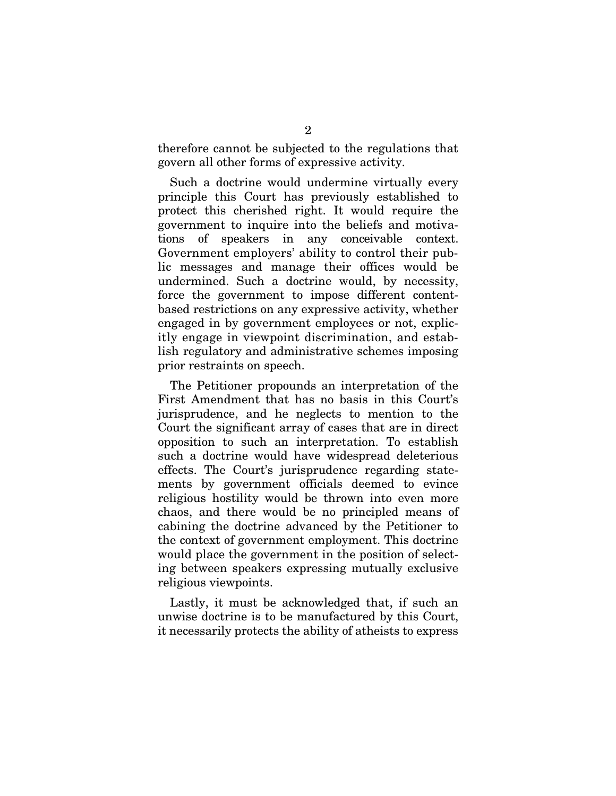therefore cannot be subjected to the regulations that govern all other forms of expressive activity.

Such a doctrine would undermine virtually every principle this Court has previously established to protect this cherished right. It would require the government to inquire into the beliefs and motivations of speakers in any conceivable context. Government employers' ability to control their public messages and manage their offices would be undermined. Such a doctrine would, by necessity, force the government to impose different contentbased restrictions on any expressive activity, whether engaged in by government employees or not, explicitly engage in viewpoint discrimination, and establish regulatory and administrative schemes imposing prior restraints on speech.

The Petitioner propounds an interpretation of the First Amendment that has no basis in this Court's jurisprudence, and he neglects to mention to the Court the significant array of cases that are in direct opposition to such an interpretation. To establish such a doctrine would have widespread deleterious effects. The Court's jurisprudence regarding statements by government officials deemed to evince religious hostility would be thrown into even more chaos, and there would be no principled means of cabining the doctrine advanced by the Petitioner to the context of government employment. This doctrine would place the government in the position of selecting between speakers expressing mutually exclusive religious viewpoints.

Lastly, it must be acknowledged that, if such an unwise doctrine is to be manufactured by this Court, it necessarily protects the ability of atheists to express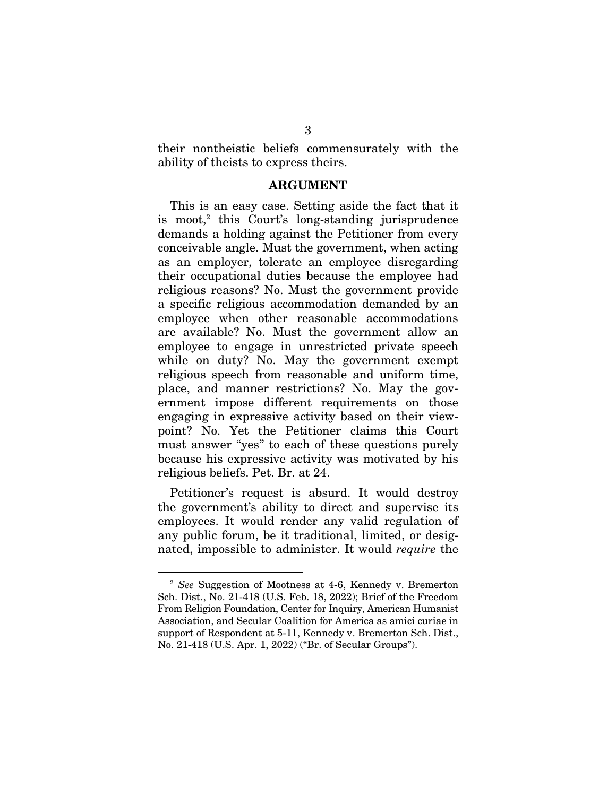their nontheistic beliefs commensurately with the ability of theists to express theirs.

#### ARGUMENT

This is an easy case. Setting aside the fact that it is moot,<sup>2</sup> this Court's long-standing jurisprudence demands a holding against the Petitioner from every conceivable angle. Must the government, when acting as an employer, tolerate an employee disregarding their occupational duties because the employee had religious reasons? No. Must the government provide a specific religious accommodation demanded by an employee when other reasonable accommodations are available? No. Must the government allow an employee to engage in unrestricted private speech while on duty? No. May the government exempt religious speech from reasonable and uniform time, place, and manner restrictions? No. May the government impose different requirements on those engaging in expressive activity based on their viewpoint? No. Yet the Petitioner claims this Court must answer "yes" to each of these questions purely because his expressive activity was motivated by his religious beliefs. Pet. Br. at 24.

Petitioner's request is absurd. It would destroy the government's ability to direct and supervise its employees. It would render any valid regulation of any public forum, be it traditional, limited, or designated, impossible to administer. It would *require* the

<sup>2</sup> *See* Suggestion of Mootness at 4-6, Kennedy v. Bremerton Sch. Dist., No. 21-418 (U.S. Feb. 18, 2022); Brief of the Freedom From Religion Foundation, Center for Inquiry, American Humanist Association, and Secular Coalition for America as amici curiae in support of Respondent at 5-11, Kennedy v. Bremerton Sch. Dist., No. 21-418 (U.S. Apr. 1, 2022) ("Br. of Secular Groups").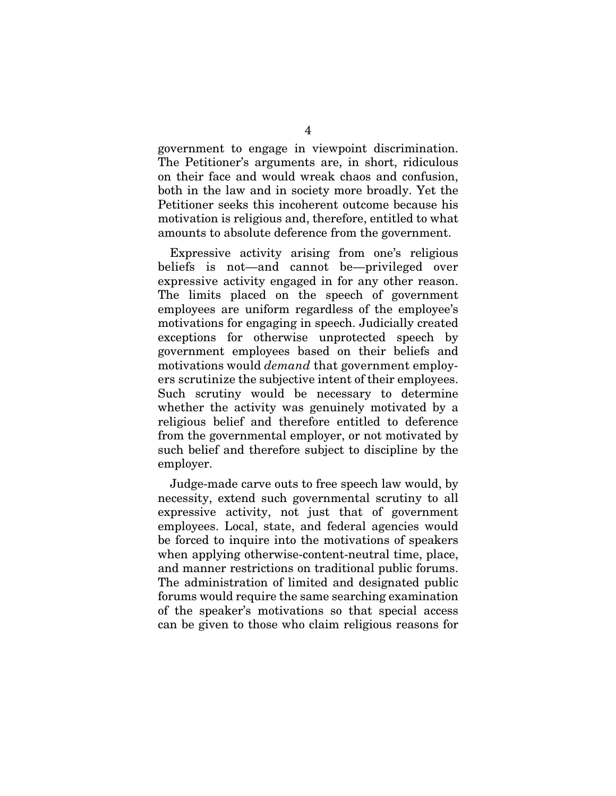government to engage in viewpoint discrimination. The Petitioner's arguments are, in short, ridiculous on their face and would wreak chaos and confusion, both in the law and in society more broadly. Yet the Petitioner seeks this incoherent outcome because his motivation is religious and, therefore, entitled to what amounts to absolute deference from the government.

Expressive activity arising from one's religious beliefs is not—and cannot be—privileged over expressive activity engaged in for any other reason. The limits placed on the speech of government employees are uniform regardless of the employee's motivations for engaging in speech. Judicially created exceptions for otherwise unprotected speech by government employees based on their beliefs and motivations would *demand* that government employers scrutinize the subjective intent of their employees. Such scrutiny would be necessary to determine whether the activity was genuinely motivated by a religious belief and therefore entitled to deference from the governmental employer, or not motivated by such belief and therefore subject to discipline by the employer.

Judge-made carve outs to free speech law would, by necessity, extend such governmental scrutiny to all expressive activity, not just that of government employees. Local, state, and federal agencies would be forced to inquire into the motivations of speakers when applying otherwise-content-neutral time, place, and manner restrictions on traditional public forums. The administration of limited and designated public forums would require the same searching examination of the speaker's motivations so that special access can be given to those who claim religious reasons for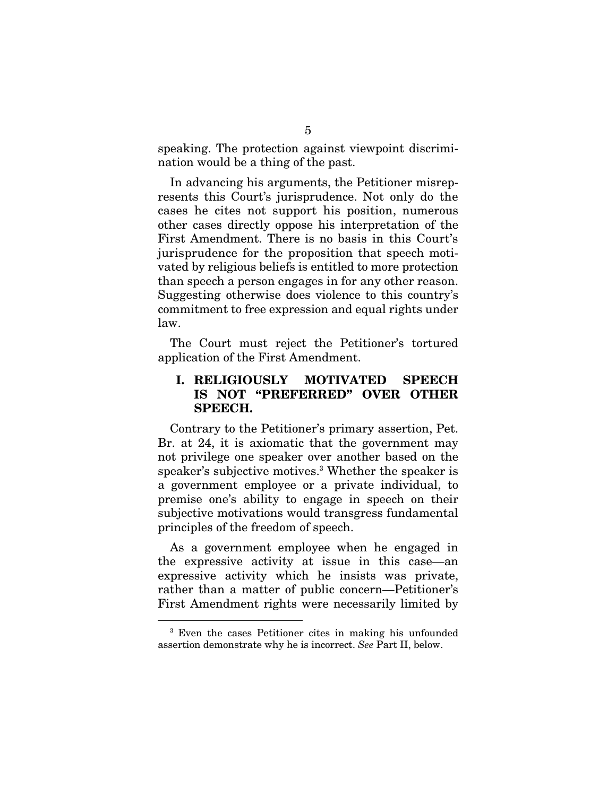speaking. The protection against viewpoint discrimination would be a thing of the past.

In advancing his arguments, the Petitioner misrepresents this Court's jurisprudence. Not only do the cases he cites not support his position, numerous other cases directly oppose his interpretation of the First Amendment. There is no basis in this Court's jurisprudence for the proposition that speech motivated by religious beliefs is entitled to more protection than speech a person engages in for any other reason. Suggesting otherwise does violence to this country's commitment to free expression and equal rights under law.

The Court must reject the Petitioner's tortured application of the First Amendment.

## I. RELIGIOUSLY MOTIVATED SPEECH IS NOT "PREFERRED" OVER OTHER SPEECH.

Contrary to the Petitioner's primary assertion, Pet. Br. at 24, it is axiomatic that the government may not privilege one speaker over another based on the speaker's subjective motives.3 Whether the speaker is a government employee or a private individual, to premise one's ability to engage in speech on their subjective motivations would transgress fundamental principles of the freedom of speech.

As a government employee when he engaged in the expressive activity at issue in this case—an expressive activity which he insists was private, rather than a matter of public concern—Petitioner's First Amendment rights were necessarily limited by

<sup>3</sup> Even the cases Petitioner cites in making his unfounded assertion demonstrate why he is incorrect. *See* Part II, below.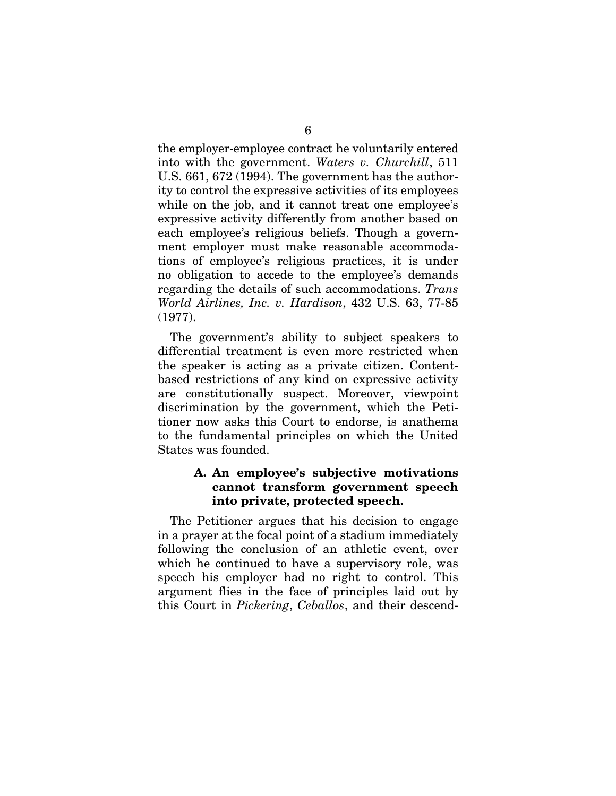the employer-employee contract he voluntarily entered into with the government. *Waters v. Churchill*, 511 U.S. 661, 672 (1994). The government has the authority to control the expressive activities of its employees while on the job, and it cannot treat one employee's expressive activity differently from another based on each employee's religious beliefs. Though a government employer must make reasonable accommodations of employee's religious practices, it is under no obligation to accede to the employee's demands regarding the details of such accommodations. *Trans World Airlines, Inc. v. Hardison*, 432 U.S. 63, 77-85 (1977).

The government's ability to subject speakers to differential treatment is even more restricted when the speaker is acting as a private citizen. Contentbased restrictions of any kind on expressive activity are constitutionally suspect. Moreover, viewpoint discrimination by the government, which the Petitioner now asks this Court to endorse, is anathema to the fundamental principles on which the United States was founded.

## A. An employee's subjective motivations cannot transform government speech into private, protected speech.

The Petitioner argues that his decision to engage in a prayer at the focal point of a stadium immediately following the conclusion of an athletic event, over which he continued to have a supervisory role, was speech his employer had no right to control. This argument flies in the face of principles laid out by this Court in *Pickering*, *Ceballos*, and their descend-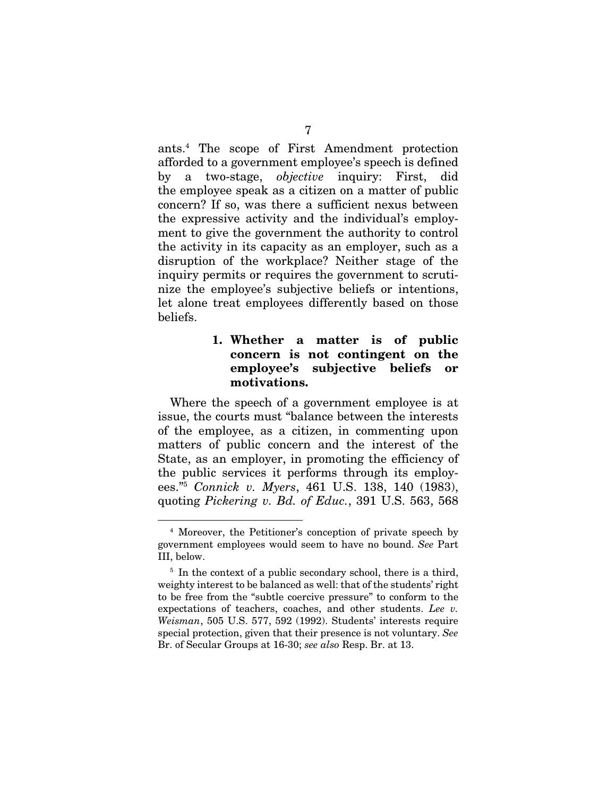ants.4 The scope of First Amendment protection afforded to a government employee's speech is defined by a two-stage, *objective* inquiry: First, did the employee speak as a citizen on a matter of public concern? If so, was there a sufficient nexus between the expressive activity and the individual's employment to give the government the authority to control the activity in its capacity as an employer, such as a disruption of the workplace? Neither stage of the inquiry permits or requires the government to scrutinize the employee's subjective beliefs or intentions, let alone treat employees differently based on those beliefs.

## 1. Whether a matter is of public concern is not contingent on the employee's subjective beliefs or motivations.

Where the speech of a government employee is at issue, the courts must "balance between the interests of the employee, as a citizen, in commenting upon matters of public concern and the interest of the State, as an employer, in promoting the efficiency of the public services it performs through its employees."5 *Connick v. Myers*, 461 U.S. 138, 140 (1983), quoting *Pickering v. Bd. of Educ.*, 391 U.S. 563, 568

<sup>4</sup> Moreover, the Petitioner's conception of private speech by government employees would seem to have no bound. *See* Part III, below.

<sup>&</sup>lt;sup>5</sup> In the context of a public secondary school, there is a third, weighty interest to be balanced as well: that of the students' right to be free from the "subtle coercive pressure" to conform to the expectations of teachers, coaches, and other students. *Lee v. Weisman*, 505 U.S. 577, 592 (1992). Students' interests require special protection, given that their presence is not voluntary. *See* Br. of Secular Groups at 16-30; *see also* Resp. Br. at 13.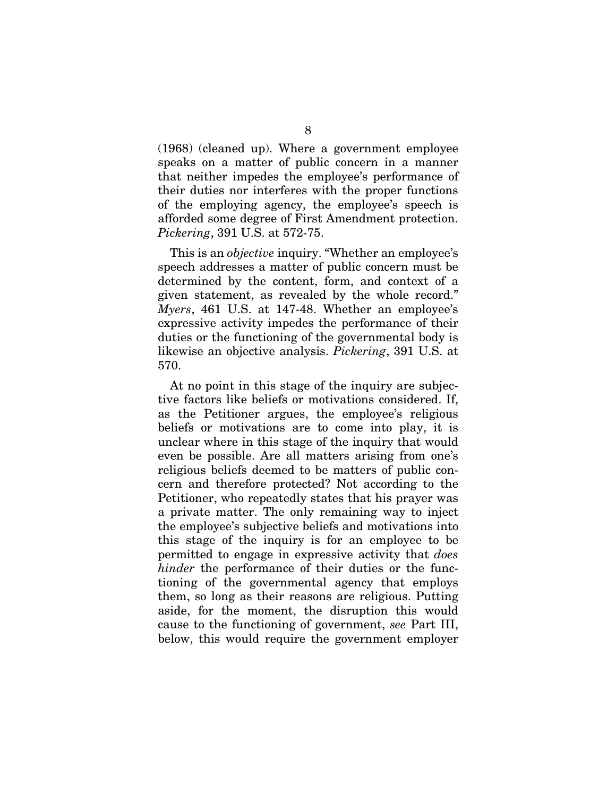(1968) (cleaned up). Where a government employee speaks on a matter of public concern in a manner that neither impedes the employee's performance of their duties nor interferes with the proper functions of the employing agency, the employee's speech is afforded some degree of First Amendment protection. *Pickering*, 391 U.S. at 572-75.

This is an *objective* inquiry. "Whether an employee's speech addresses a matter of public concern must be determined by the content, form, and context of a given statement, as revealed by the whole record." *Myers*, 461 U.S. at 147-48. Whether an employee's expressive activity impedes the performance of their duties or the functioning of the governmental body is likewise an objective analysis. *Pickering*, 391 U.S. at 570.

At no point in this stage of the inquiry are subjective factors like beliefs or motivations considered. If, as the Petitioner argues, the employee's religious beliefs or motivations are to come into play, it is unclear where in this stage of the inquiry that would even be possible. Are all matters arising from one's religious beliefs deemed to be matters of public concern and therefore protected? Not according to the Petitioner, who repeatedly states that his prayer was a private matter. The only remaining way to inject the employee's subjective beliefs and motivations into this stage of the inquiry is for an employee to be permitted to engage in expressive activity that *does hinder* the performance of their duties or the functioning of the governmental agency that employs them, so long as their reasons are religious. Putting aside, for the moment, the disruption this would cause to the functioning of government, *see* Part III, below, this would require the government employer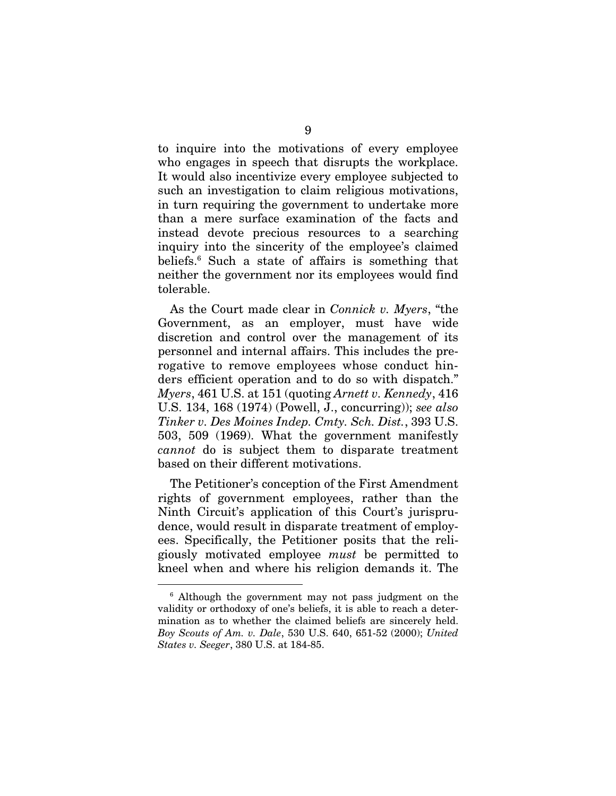to inquire into the motivations of every employee who engages in speech that disrupts the workplace. It would also incentivize every employee subjected to such an investigation to claim religious motivations, in turn requiring the government to undertake more than a mere surface examination of the facts and instead devote precious resources to a searching inquiry into the sincerity of the employee's claimed beliefs.6 Such a state of affairs is something that neither the government nor its employees would find tolerable.

As the Court made clear in *Connick v. Myers*, "the Government, as an employer, must have wide discretion and control over the management of its personnel and internal affairs. This includes the prerogative to remove employees whose conduct hinders efficient operation and to do so with dispatch." *Myers*, 461 U.S. at 151 (quoting *Arnett v. Kennedy*, 416 U.S. 134, 168 (1974) (Powell, J., concurring)); *see also Tinker v. Des Moines Indep. Cmty. Sch. Dist.*, 393 U.S. 503, 509 (1969). What the government manifestly *cannot* do is subject them to disparate treatment based on their different motivations.

The Petitioner's conception of the First Amendment rights of government employees, rather than the Ninth Circuit's application of this Court's jurisprudence, would result in disparate treatment of employees. Specifically, the Petitioner posits that the religiously motivated employee *must* be permitted to kneel when and where his religion demands it. The

<sup>6</sup> Although the government may not pass judgment on the validity or orthodoxy of one's beliefs, it is able to reach a determination as to whether the claimed beliefs are sincerely held. *Boy Scouts of Am. v. Dale*, 530 U.S. 640, 651-52 (2000); *United States v. Seeger*, 380 U.S. at 184-85.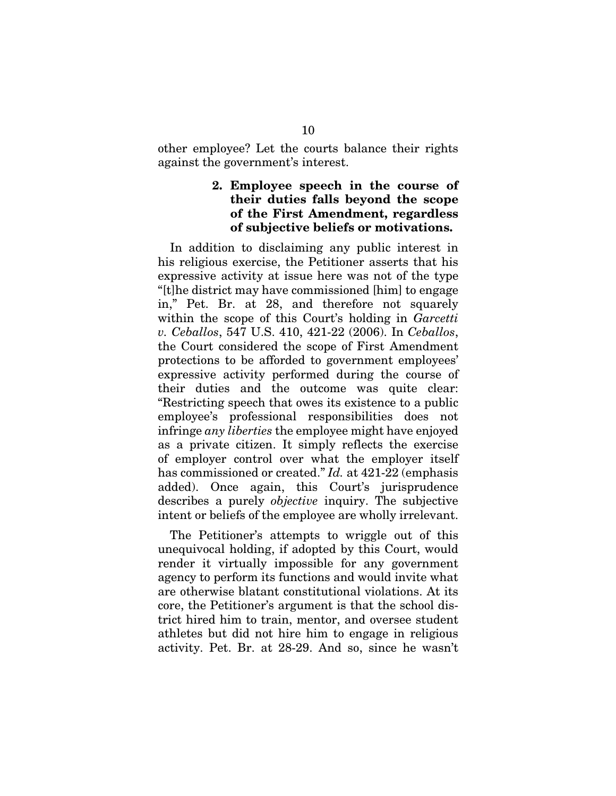other employee? Let the courts balance their rights against the government's interest.

#### 2. Employee speech in the course of their duties falls beyond the scope of the First Amendment, regardless of subjective beliefs or motivations.

In addition to disclaiming any public interest in his religious exercise, the Petitioner asserts that his expressive activity at issue here was not of the type "[t]he district may have commissioned [him] to engage in," Pet. Br. at 28, and therefore not squarely within the scope of this Court's holding in *Garcetti v. Ceballos*, 547 U.S. 410, 421-22 (2006). In *Ceballos*, the Court considered the scope of First Amendment protections to be afforded to government employees' expressive activity performed during the course of their duties and the outcome was quite clear: "Restricting speech that owes its existence to a public employee's professional responsibilities does not infringe *any liberties* the employee might have enjoyed as a private citizen. It simply reflects the exercise of employer control over what the employer itself has commissioned or created." *Id.* at 421-22 (emphasis added). Once again, this Court's jurisprudence describes a purely *objective* inquiry. The subjective intent or beliefs of the employee are wholly irrelevant.

The Petitioner's attempts to wriggle out of this unequivocal holding, if adopted by this Court, would render it virtually impossible for any government agency to perform its functions and would invite what are otherwise blatant constitutional violations. At its core, the Petitioner's argument is that the school district hired him to train, mentor, and oversee student athletes but did not hire him to engage in religious activity. Pet. Br. at 28-29. And so, since he wasn't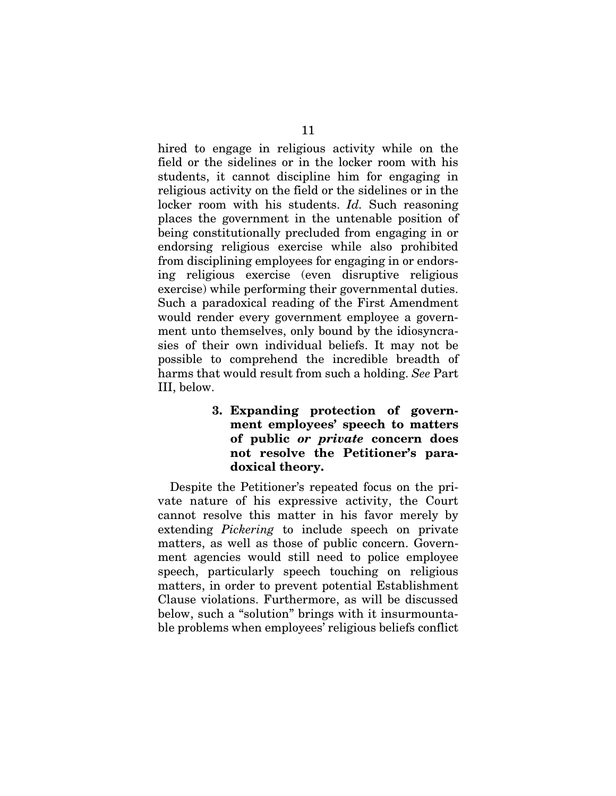hired to engage in religious activity while on the field or the sidelines or in the locker room with his students, it cannot discipline him for engaging in religious activity on the field or the sidelines or in the locker room with his students. *Id.* Such reasoning places the government in the untenable position of being constitutionally precluded from engaging in or endorsing religious exercise while also prohibited from disciplining employees for engaging in or endorsing religious exercise (even disruptive religious exercise) while performing their governmental duties. Such a paradoxical reading of the First Amendment would render every government employee a government unto themselves, only bound by the idiosyncrasies of their own individual beliefs. It may not be possible to comprehend the incredible breadth of harms that would result from such a holding. *See* Part III, below.

> 3. Expanding protection of government employees' speech to matters of public *or private* concern does not resolve the Petitioner's paradoxical theory.

Despite the Petitioner's repeated focus on the private nature of his expressive activity, the Court cannot resolve this matter in his favor merely by extending *Pickering* to include speech on private matters, as well as those of public concern. Government agencies would still need to police employee speech, particularly speech touching on religious matters, in order to prevent potential Establishment Clause violations. Furthermore, as will be discussed below, such a "solution" brings with it insurmountable problems when employees' religious beliefs conflict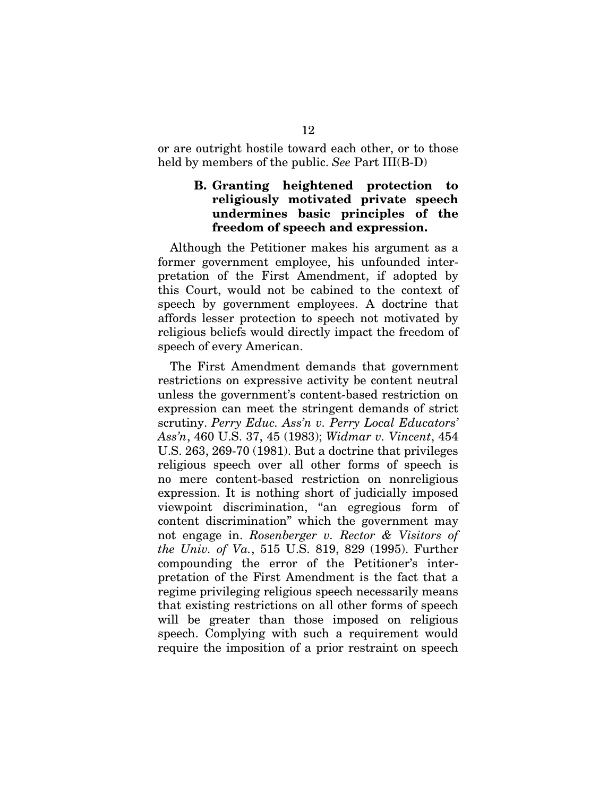or are outright hostile toward each other, or to those held by members of the public. *See* Part III(B-D)

## B. Granting heightened protection to religiously motivated private speech undermines basic principles of the freedom of speech and expression.

Although the Petitioner makes his argument as a former government employee, his unfounded interpretation of the First Amendment, if adopted by this Court, would not be cabined to the context of speech by government employees. A doctrine that affords lesser protection to speech not motivated by religious beliefs would directly impact the freedom of speech of every American.

The First Amendment demands that government restrictions on expressive activity be content neutral unless the government's content-based restriction on expression can meet the stringent demands of strict scrutiny. *Perry Educ. Ass'n v. Perry Local Educators' Ass'n*, 460 U.S. 37, 45 (1983); *Widmar v. Vincent*, 454 U.S. 263, 269-70 (1981). But a doctrine that privileges religious speech over all other forms of speech is no mere content-based restriction on nonreligious expression. It is nothing short of judicially imposed viewpoint discrimination, "an egregious form of content discrimination" which the government may not engage in. *Rosenberger v. Rector & Visitors of the Univ. of Va.*, 515 U.S. 819, 829 (1995). Further compounding the error of the Petitioner's interpretation of the First Amendment is the fact that a regime privileging religious speech necessarily means that existing restrictions on all other forms of speech will be greater than those imposed on religious speech. Complying with such a requirement would require the imposition of a prior restraint on speech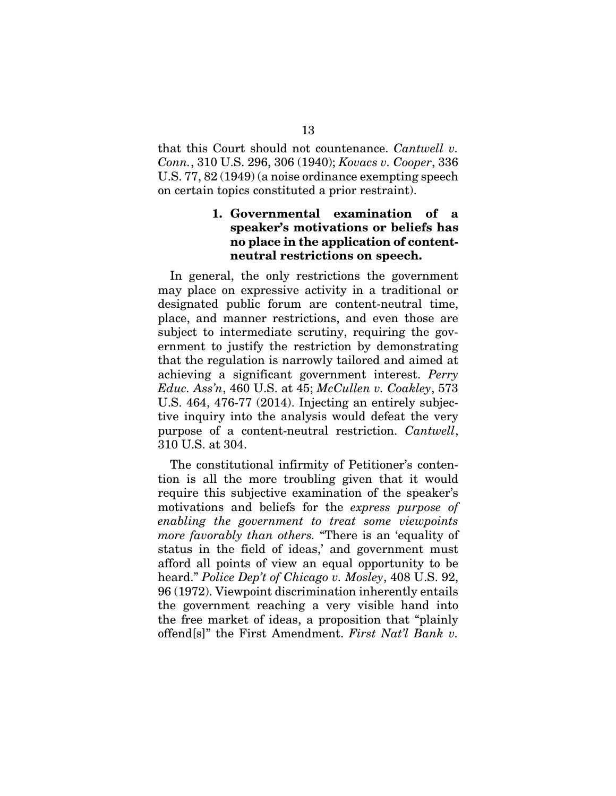that this Court should not countenance. *Cantwell v. Conn.*, 310 U.S. 296, 306 (1940); *Kovacs v. Cooper*, 336 U.S. 77, 82 (1949) (a noise ordinance exempting speech on certain topics constituted a prior restraint).

## 1. Governmental examination of a speaker's motivations or beliefs has no place in the application of contentneutral restrictions on speech.

In general, the only restrictions the government may place on expressive activity in a traditional or designated public forum are content-neutral time, place, and manner restrictions, and even those are subject to intermediate scrutiny, requiring the government to justify the restriction by demonstrating that the regulation is narrowly tailored and aimed at achieving a significant government interest. *Perry Educ. Ass'n*, 460 U.S. at 45; *McCullen v. Coakley*, 573 U.S. 464, 476-77 (2014). Injecting an entirely subjective inquiry into the analysis would defeat the very purpose of a content-neutral restriction. *Cantwell*, 310 U.S. at 304.

The constitutional infirmity of Petitioner's contention is all the more troubling given that it would require this subjective examination of the speaker's motivations and beliefs for the *express purpose of enabling the government to treat some viewpoints more favorably than others.* "There is an 'equality of status in the field of ideas,' and government must afford all points of view an equal opportunity to be heard." *Police Dep't of Chicago v. Mosley*, 408 U.S. 92, 96 (1972). Viewpoint discrimination inherently entails the government reaching a very visible hand into the free market of ideas, a proposition that "plainly offend[s]" the First Amendment. *First Nat'l Bank v.*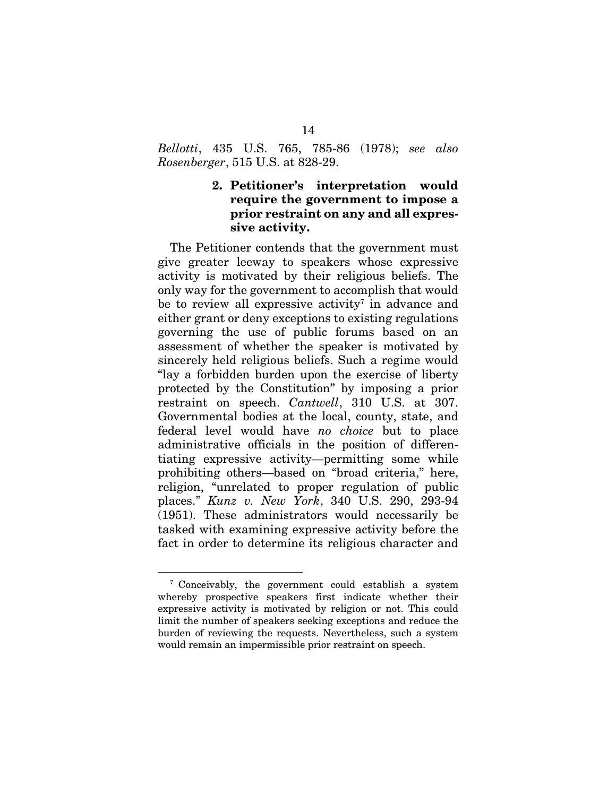*Bellotti*, 435 U.S. 765, 785-86 (1978); *see also Rosenberger*, 515 U.S. at 828-29.

## 2. Petitioner's interpretation would require the government to impose a prior restraint on any and all expressive activity.

The Petitioner contends that the government must give greater leeway to speakers whose expressive activity is motivated by their religious beliefs. The only way for the government to accomplish that would be to review all expressive activity<sup> $7$ </sup> in advance and either grant or deny exceptions to existing regulations governing the use of public forums based on an assessment of whether the speaker is motivated by sincerely held religious beliefs. Such a regime would "lay a forbidden burden upon the exercise of liberty protected by the Constitution" by imposing a prior restraint on speech. *Cantwell*, 310 U.S. at 307. Governmental bodies at the local, county, state, and federal level would have *no choice* but to place administrative officials in the position of differentiating expressive activity—permitting some while prohibiting others—based on "broad criteria," here, religion, "unrelated to proper regulation of public places." *Kunz v. New York*, 340 U.S. 290, 293-94 (1951). These administrators would necessarily be tasked with examining expressive activity before the fact in order to determine its religious character and

<sup>7</sup> Conceivably, the government could establish a system whereby prospective speakers first indicate whether their expressive activity is motivated by religion or not. This could limit the number of speakers seeking exceptions and reduce the burden of reviewing the requests. Nevertheless, such a system would remain an impermissible prior restraint on speech.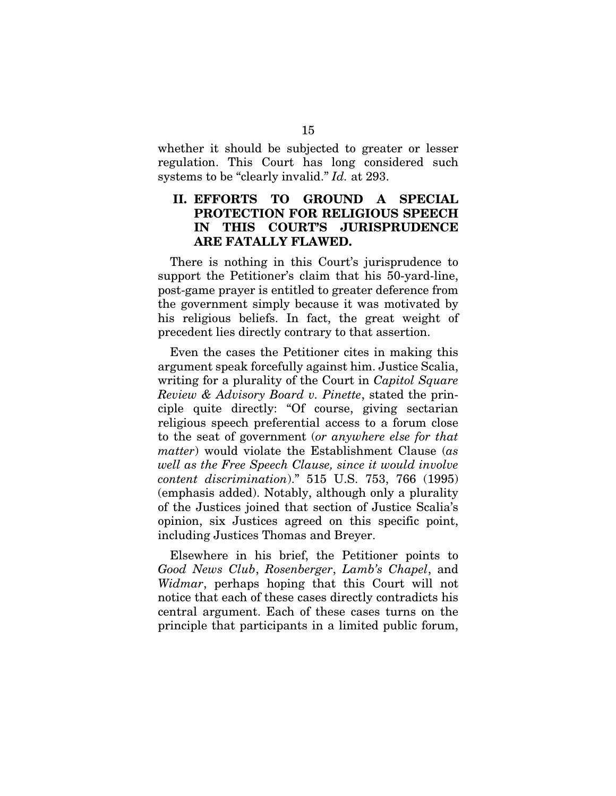whether it should be subjected to greater or lesser regulation. This Court has long considered such systems to be "clearly invalid." *Id.* at 293.

## II. EFFORTS TO GROUND A SPECIAL PROTECTION FOR RELIGIOUS SPEECH IN THIS COURT'S JURISPRUDENCE ARE FATALLY FLAWED.

There is nothing in this Court's jurisprudence to support the Petitioner's claim that his 50-yard-line, post-game prayer is entitled to greater deference from the government simply because it was motivated by his religious beliefs. In fact, the great weight of precedent lies directly contrary to that assertion.

Even the cases the Petitioner cites in making this argument speak forcefully against him. Justice Scalia, writing for a plurality of the Court in *Capitol Square Review & Advisory Board v. Pinette*, stated the principle quite directly: "Of course, giving sectarian religious speech preferential access to a forum close to the seat of government (*or anywhere else for that matter*) would violate the Establishment Clause (*as well as the Free Speech Clause, since it would involve content discrimination*)." 515 U.S. 753, 766 (1995) (emphasis added). Notably, although only a plurality of the Justices joined that section of Justice Scalia's opinion, six Justices agreed on this specific point, including Justices Thomas and Breyer.

Elsewhere in his brief, the Petitioner points to *Good News Club*, *Rosenberger*, *Lamb's Chapel*, and *Widmar*, perhaps hoping that this Court will not notice that each of these cases directly contradicts his central argument. Each of these cases turns on the principle that participants in a limited public forum,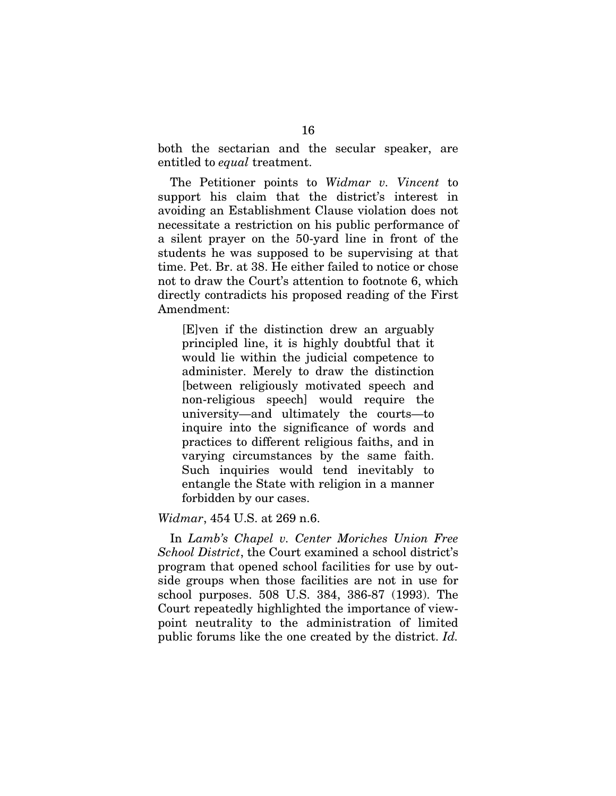both the sectarian and the secular speaker, are entitled to *equal* treatment.

The Petitioner points to *Widmar v. Vincent* to support his claim that the district's interest in avoiding an Establishment Clause violation does not necessitate a restriction on his public performance of a silent prayer on the 50-yard line in front of the students he was supposed to be supervising at that time. Pet. Br. at 38. He either failed to notice or chose not to draw the Court's attention to footnote 6, which directly contradicts his proposed reading of the First Amendment:

[E]ven if the distinction drew an arguably principled line, it is highly doubtful that it would lie within the judicial competence to administer. Merely to draw the distinction [between religiously motivated speech and non-religious speech] would require the university—and ultimately the courts—to inquire into the significance of words and practices to different religious faiths, and in varying circumstances by the same faith. Such inquiries would tend inevitably to entangle the State with religion in a manner forbidden by our cases.

#### *Widmar*, 454 U.S. at 269 n.6.

In *Lamb's Chapel v. Center Moriches Union Free School District*, the Court examined a school district's program that opened school facilities for use by outside groups when those facilities are not in use for school purposes. 508 U.S. 384, 386-87 (1993). The Court repeatedly highlighted the importance of viewpoint neutrality to the administration of limited public forums like the one created by the district. *Id.*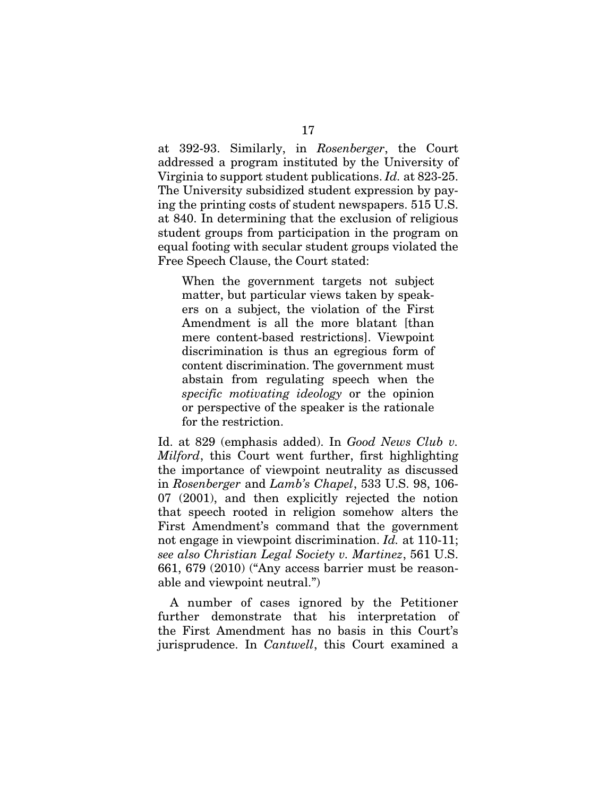at 392-93. Similarly, in *Rosenberger*, the Court addressed a program instituted by the University of Virginia to support student publications. *Id.* at 823-25. The University subsidized student expression by paying the printing costs of student newspapers. 515 U.S. at 840. In determining that the exclusion of religious student groups from participation in the program on equal footing with secular student groups violated the Free Speech Clause, the Court stated:

When the government targets not subject matter, but particular views taken by speakers on a subject, the violation of the First Amendment is all the more blatant [than mere content-based restrictions]. Viewpoint discrimination is thus an egregious form of content discrimination. The government must abstain from regulating speech when the *specific motivating ideology* or the opinion or perspective of the speaker is the rationale for the restriction.

Id. at 829 (emphasis added). In *Good News Club v. Milford*, this Court went further, first highlighting the importance of viewpoint neutrality as discussed in *Rosenberger* and *Lamb's Chapel*, 533 U.S. 98, 106- 07 (2001), and then explicitly rejected the notion that speech rooted in religion somehow alters the First Amendment's command that the government not engage in viewpoint discrimination. *Id.* at 110-11; *see also Christian Legal Society v. Martinez*, 561 U.S. 661, 679 (2010) ("Any access barrier must be reasonable and viewpoint neutral.")

A number of cases ignored by the Petitioner further demonstrate that his interpretation of the First Amendment has no basis in this Court's jurisprudence. In *Cantwell*, this Court examined a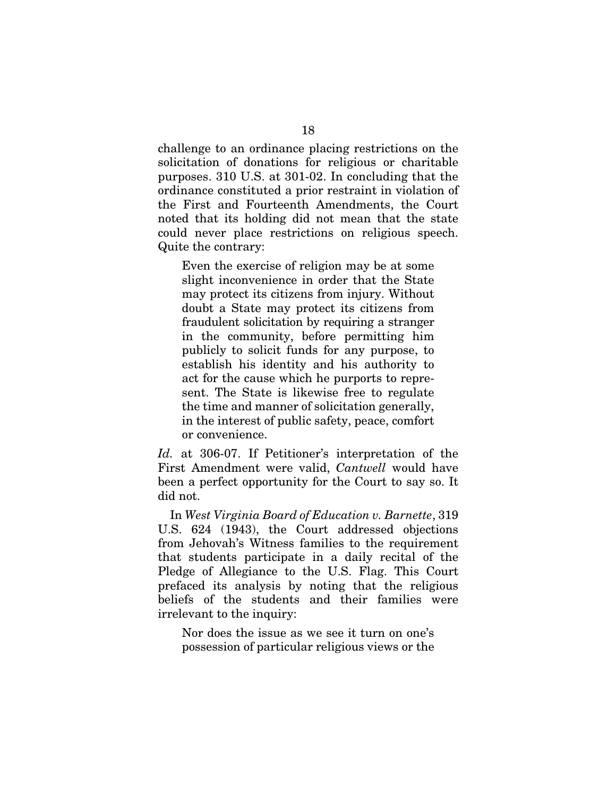challenge to an ordinance placing restrictions on the solicitation of donations for religious or charitable purposes. 310 U.S. at 301-02. In concluding that the ordinance constituted a prior restraint in violation of the First and Fourteenth Amendments, the Court noted that its holding did not mean that the state could never place restrictions on religious speech. Quite the contrary:

Even the exercise of religion may be at some slight inconvenience in order that the State may protect its citizens from injury. Without doubt a State may protect its citizens from fraudulent solicitation by requiring a stranger in the community, before permitting him publicly to solicit funds for any purpose, to establish his identity and his authority to act for the cause which he purports to represent. The State is likewise free to regulate the time and manner of solicitation generally, in the interest of public safety, peace, comfort or convenience.

*Id.* at 306-07. If Petitioner's interpretation of the First Amendment were valid, *Cantwell* would have been a perfect opportunity for the Court to say so. It did not.

In *West Virginia Board of Education v. Barnette*, 319 U.S. 624 (1943), the Court addressed objections from Jehovah's Witness families to the requirement that students participate in a daily recital of the Pledge of Allegiance to the U.S. Flag. This Court prefaced its analysis by noting that the religious beliefs of the students and their families were irrelevant to the inquiry:

Nor does the issue as we see it turn on one's possession of particular religious views or the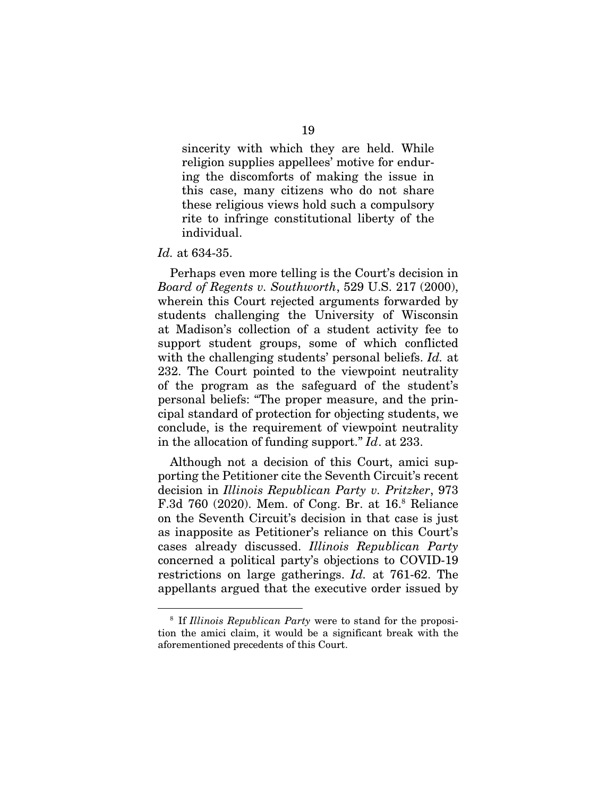sincerity with which they are held. While religion supplies appellees' motive for enduring the discomforts of making the issue in this case, many citizens who do not share these religious views hold such a compulsory rite to infringe constitutional liberty of the individual.

#### *Id.* at 634-35.

Perhaps even more telling is the Court's decision in *Board of Regents v. Southworth*, 529 U.S. 217 (2000), wherein this Court rejected arguments forwarded by students challenging the University of Wisconsin at Madison's collection of a student activity fee to support student groups, some of which conflicted with the challenging students' personal beliefs. *Id.* at 232. The Court pointed to the viewpoint neutrality of the program as the safeguard of the student's personal beliefs: "The proper measure, and the principal standard of protection for objecting students, we conclude, is the requirement of viewpoint neutrality in the allocation of funding support." *Id*. at 233.

Although not a decision of this Court, amici supporting the Petitioner cite the Seventh Circuit's recent decision in *Illinois Republican Party v. Pritzker*, 973 F.3d 760 (2020). Mem. of Cong. Br. at 16.8 Reliance on the Seventh Circuit's decision in that case is just as inapposite as Petitioner's reliance on this Court's cases already discussed. *Illinois Republican Party* concerned a political party's objections to COVID-19 restrictions on large gatherings. *Id.* at 761-62. The appellants argued that the executive order issued by

<sup>8</sup> If *Illinois Republican Party* were to stand for the proposition the amici claim, it would be a significant break with the aforementioned precedents of this Court.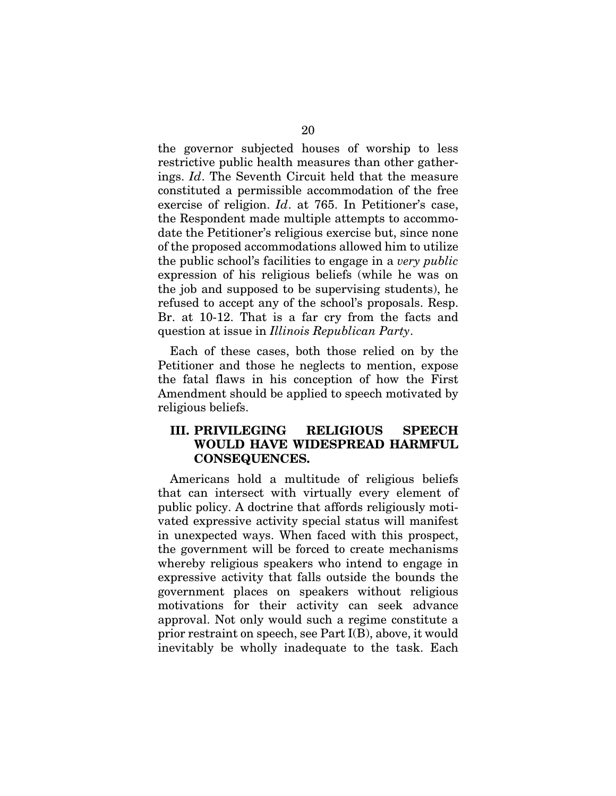the governor subjected houses of worship to less restrictive public health measures than other gatherings. *Id*. The Seventh Circuit held that the measure constituted a permissible accommodation of the free exercise of religion. *Id*. at 765. In Petitioner's case, the Respondent made multiple attempts to accommodate the Petitioner's religious exercise but, since none of the proposed accommodations allowed him to utilize the public school's facilities to engage in a *very public* expression of his religious beliefs (while he was on the job and supposed to be supervising students), he refused to accept any of the school's proposals. Resp. Br. at 10-12. That is a far cry from the facts and question at issue in *Illinois Republican Party*.

Each of these cases, both those relied on by the Petitioner and those he neglects to mention, expose the fatal flaws in his conception of how the First Amendment should be applied to speech motivated by religious beliefs.

## III. PRIVILEGING RELIGIOUS SPEECH WOULD HAVE WIDESPREAD HARMFUL CONSEQUENCES.

Americans hold a multitude of religious beliefs that can intersect with virtually every element of public policy. A doctrine that affords religiously motivated expressive activity special status will manifest in unexpected ways. When faced with this prospect, the government will be forced to create mechanisms whereby religious speakers who intend to engage in expressive activity that falls outside the bounds the government places on speakers without religious motivations for their activity can seek advance approval. Not only would such a regime constitute a prior restraint on speech, see Part I(B), above, it would inevitably be wholly inadequate to the task. Each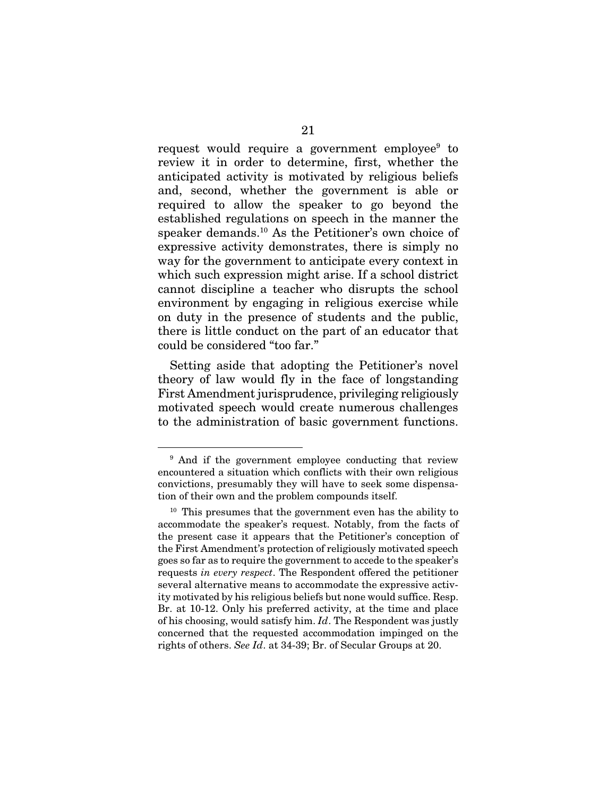request would require a government employee<sup>9</sup> to review it in order to determine, first, whether the anticipated activity is motivated by religious beliefs and, second, whether the government is able or required to allow the speaker to go beyond the established regulations on speech in the manner the speaker demands.10 As the Petitioner's own choice of expressive activity demonstrates, there is simply no way for the government to anticipate every context in which such expression might arise. If a school district cannot discipline a teacher who disrupts the school environment by engaging in religious exercise while on duty in the presence of students and the public, there is little conduct on the part of an educator that could be considered "too far."

Setting aside that adopting the Petitioner's novel theory of law would fly in the face of longstanding First Amendment jurisprudence, privileging religiously motivated speech would create numerous challenges to the administration of basic government functions.

<sup>9</sup> And if the government employee conducting that review encountered a situation which conflicts with their own religious convictions, presumably they will have to seek some dispensation of their own and the problem compounds itself.

<sup>&</sup>lt;sup>10</sup> This presumes that the government even has the ability to accommodate the speaker's request. Notably, from the facts of the present case it appears that the Petitioner's conception of the First Amendment's protection of religiously motivated speech goes so far as to require the government to accede to the speaker's requests *in every respect*. The Respondent offered the petitioner several alternative means to accommodate the expressive activity motivated by his religious beliefs but none would suffice. Resp. Br. at 10-12. Only his preferred activity, at the time and place of his choosing, would satisfy him. *Id*. The Respondent was justly concerned that the requested accommodation impinged on the rights of others. *See Id*. at 34-39; Br. of Secular Groups at 20.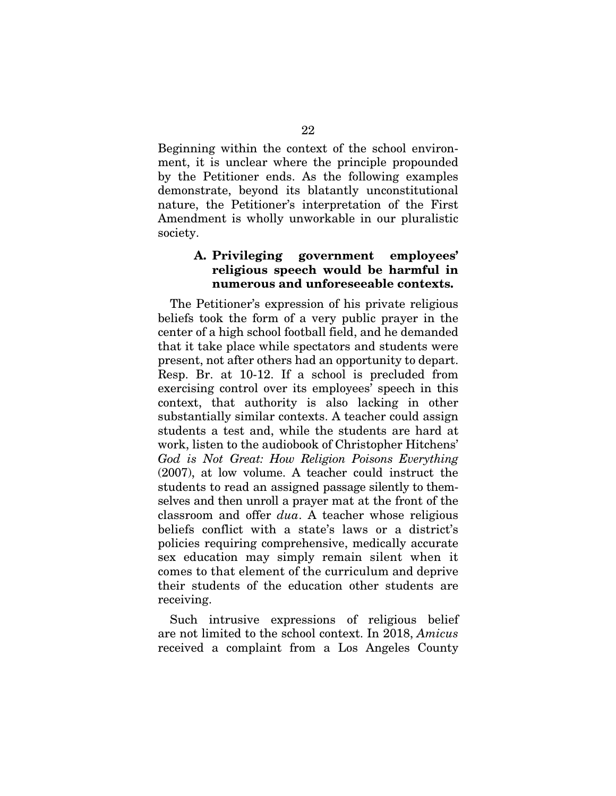Beginning within the context of the school environment, it is unclear where the principle propounded by the Petitioner ends. As the following examples demonstrate, beyond its blatantly unconstitutional nature, the Petitioner's interpretation of the First Amendment is wholly unworkable in our pluralistic society.

#### A. Privileging government employees' religious speech would be harmful in numerous and unforeseeable contexts.

The Petitioner's expression of his private religious beliefs took the form of a very public prayer in the center of a high school football field, and he demanded that it take place while spectators and students were present, not after others had an opportunity to depart. Resp. Br. at 10-12. If a school is precluded from exercising control over its employees' speech in this context, that authority is also lacking in other substantially similar contexts. A teacher could assign students a test and, while the students are hard at work, listen to the audiobook of Christopher Hitchens' *God is Not Great: How Religion Poisons Everything*  (2007), at low volume. A teacher could instruct the students to read an assigned passage silently to themselves and then unroll a prayer mat at the front of the classroom and offer *dua*. A teacher whose religious beliefs conflict with a state's laws or a district's policies requiring comprehensive, medically accurate sex education may simply remain silent when it comes to that element of the curriculum and deprive their students of the education other students are receiving.

Such intrusive expressions of religious belief are not limited to the school context. In 2018, *Amicus* received a complaint from a Los Angeles County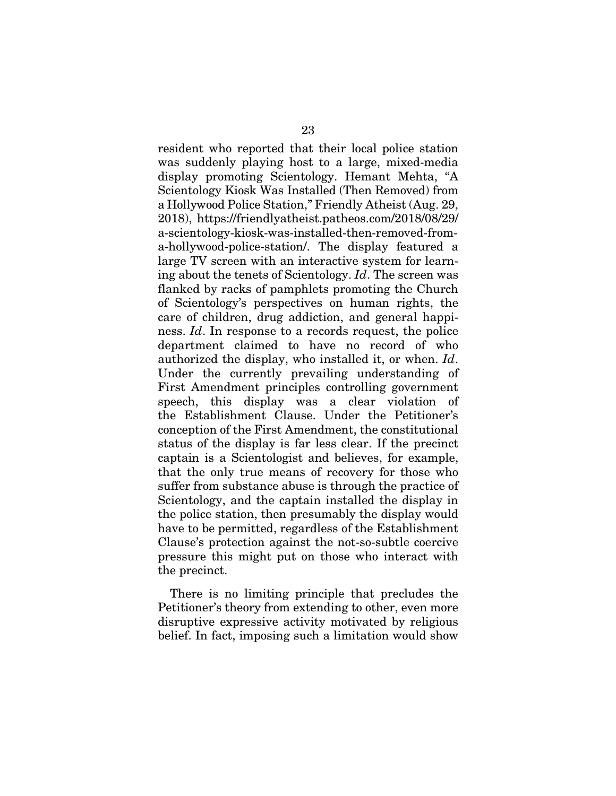resident who reported that their local police station was suddenly playing host to a large, mixed-media display promoting Scientology. Hemant Mehta, "A Scientology Kiosk Was Installed (Then Removed) from a Hollywood Police Station," Friendly Atheist (Aug. 29, 2018), https://friendlyatheist.patheos.com/2018/08/29/ a-scientology-kiosk-was-installed-then-removed-froma-hollywood-police-station/. The display featured a large TV screen with an interactive system for learning about the tenets of Scientology. *Id*. The screen was flanked by racks of pamphlets promoting the Church of Scientology's perspectives on human rights, the care of children, drug addiction, and general happiness. *Id*. In response to a records request, the police department claimed to have no record of who authorized the display, who installed it, or when. *Id*. Under the currently prevailing understanding of First Amendment principles controlling government speech, this display was a clear violation of the Establishment Clause. Under the Petitioner's conception of the First Amendment, the constitutional status of the display is far less clear. If the precinct captain is a Scientologist and believes, for example, that the only true means of recovery for those who suffer from substance abuse is through the practice of Scientology, and the captain installed the display in the police station, then presumably the display would have to be permitted, regardless of the Establishment Clause's protection against the not-so-subtle coercive pressure this might put on those who interact with the precinct.

There is no limiting principle that precludes the Petitioner's theory from extending to other, even more disruptive expressive activity motivated by religious belief. In fact, imposing such a limitation would show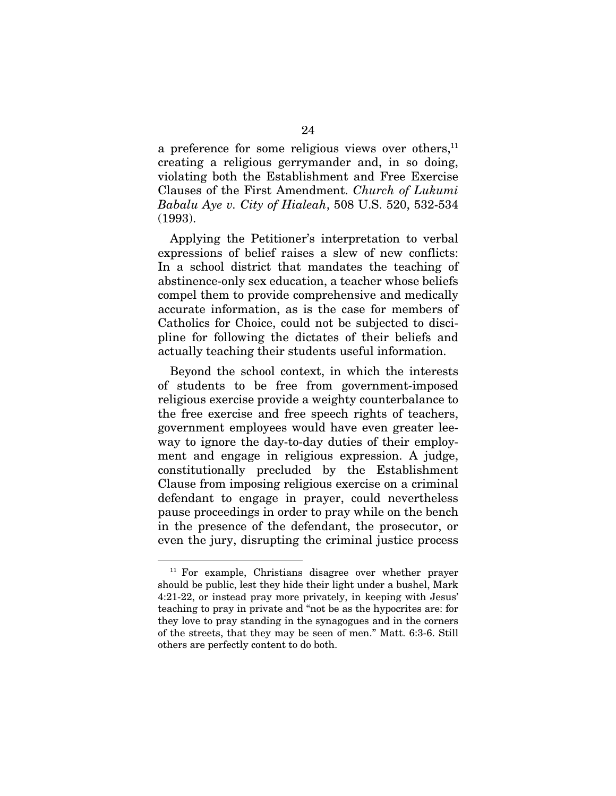a preference for some religious views over others,<sup>11</sup> creating a religious gerrymander and, in so doing, violating both the Establishment and Free Exercise Clauses of the First Amendment. *Church of Lukumi Babalu Aye v. City of Hialeah*, 508 U.S. 520, 532-534 (1993).

Applying the Petitioner's interpretation to verbal expressions of belief raises a slew of new conflicts: In a school district that mandates the teaching of abstinence-only sex education, a teacher whose beliefs compel them to provide comprehensive and medically accurate information, as is the case for members of Catholics for Choice, could not be subjected to discipline for following the dictates of their beliefs and actually teaching their students useful information.

Beyond the school context, in which the interests of students to be free from government-imposed religious exercise provide a weighty counterbalance to the free exercise and free speech rights of teachers, government employees would have even greater leeway to ignore the day-to-day duties of their employment and engage in religious expression. A judge, constitutionally precluded by the Establishment Clause from imposing religious exercise on a criminal defendant to engage in prayer, could nevertheless pause proceedings in order to pray while on the bench in the presence of the defendant, the prosecutor, or even the jury, disrupting the criminal justice process

<sup>11</sup> For example, Christians disagree over whether prayer should be public, lest they hide their light under a bushel, Mark 4:21-22, or instead pray more privately, in keeping with Jesus' teaching to pray in private and "not be as the hypocrites are: for they love to pray standing in the synagogues and in the corners of the streets, that they may be seen of men." Matt. 6:3-6. Still others are perfectly content to do both.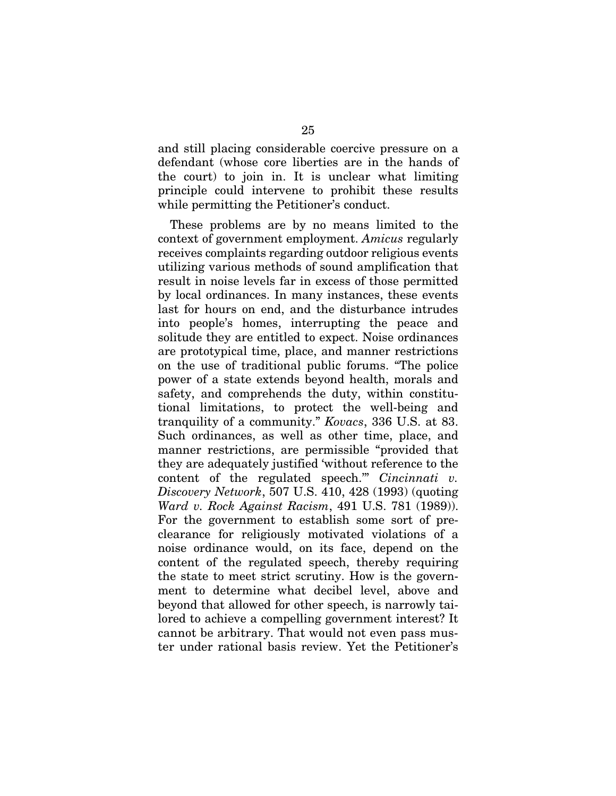and still placing considerable coercive pressure on a defendant (whose core liberties are in the hands of the court) to join in. It is unclear what limiting principle could intervene to prohibit these results while permitting the Petitioner's conduct.

These problems are by no means limited to the context of government employment. *Amicus* regularly receives complaints regarding outdoor religious events utilizing various methods of sound amplification that result in noise levels far in excess of those permitted by local ordinances. In many instances, these events last for hours on end, and the disturbance intrudes into people's homes, interrupting the peace and solitude they are entitled to expect. Noise ordinances are prototypical time, place, and manner restrictions on the use of traditional public forums. "The police power of a state extends beyond health, morals and safety, and comprehends the duty, within constitutional limitations, to protect the well-being and tranquility of a community." *Kovacs*, 336 U.S. at 83. Such ordinances, as well as other time, place, and manner restrictions, are permissible "provided that they are adequately justified 'without reference to the content of the regulated speech.'" *Cincinnati v. Discovery Network*, 507 U.S. 410, 428 (1993) (quoting *Ward v. Rock Against Racism*, 491 U.S. 781 (1989)). For the government to establish some sort of preclearance for religiously motivated violations of a noise ordinance would, on its face, depend on the content of the regulated speech, thereby requiring the state to meet strict scrutiny. How is the government to determine what decibel level, above and beyond that allowed for other speech, is narrowly tailored to achieve a compelling government interest? It cannot be arbitrary. That would not even pass muster under rational basis review. Yet the Petitioner's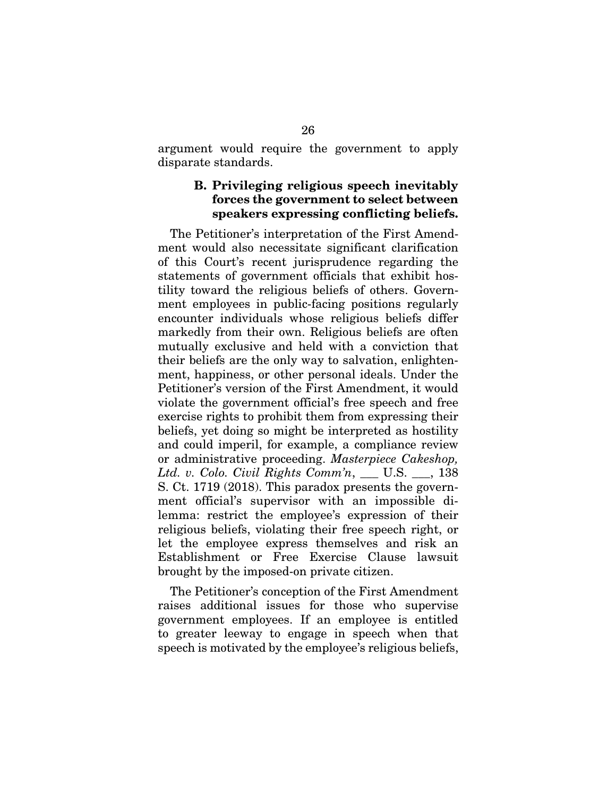argument would require the government to apply disparate standards.

#### B. Privileging religious speech inevitably forces the government to select between speakers expressing conflicting beliefs.

The Petitioner's interpretation of the First Amendment would also necessitate significant clarification of this Court's recent jurisprudence regarding the statements of government officials that exhibit hostility toward the religious beliefs of others. Government employees in public-facing positions regularly encounter individuals whose religious beliefs differ markedly from their own. Religious beliefs are often mutually exclusive and held with a conviction that their beliefs are the only way to salvation, enlightenment, happiness, or other personal ideals. Under the Petitioner's version of the First Amendment, it would violate the government official's free speech and free exercise rights to prohibit them from expressing their beliefs, yet doing so might be interpreted as hostility and could imperil, for example, a compliance review or administrative proceeding. *Masterpiece Cakeshop, Ltd. v. Colo. Civil Rights Comm'n*, \_\_\_ U.S. \_\_\_, 138 S. Ct. 1719 (2018). This paradox presents the government official's supervisor with an impossible dilemma: restrict the employee's expression of their religious beliefs, violating their free speech right, or let the employee express themselves and risk an Establishment or Free Exercise Clause lawsuit brought by the imposed-on private citizen.

The Petitioner's conception of the First Amendment raises additional issues for those who supervise government employees. If an employee is entitled to greater leeway to engage in speech when that speech is motivated by the employee's religious beliefs,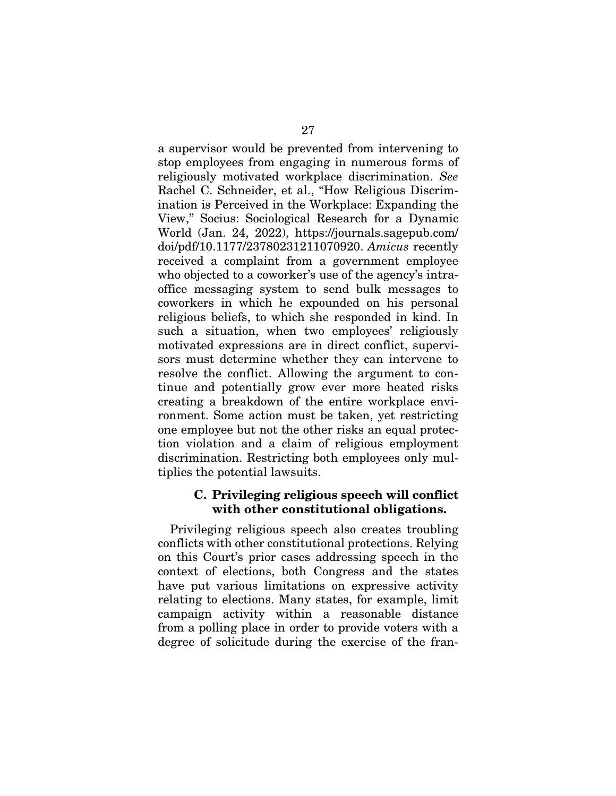a supervisor would be prevented from intervening to stop employees from engaging in numerous forms of religiously motivated workplace discrimination. *See* Rachel C. Schneider, et al., "How Religious Discrimination is Perceived in the Workplace: Expanding the View," Socius: Sociological Research for a Dynamic World (Jan. 24, 2022), https://journals.sagepub.com/ doi/pdf/10.1177/23780231211070920. *Amicus* recently received a complaint from a government employee who objected to a coworker's use of the agency's intraoffice messaging system to send bulk messages to coworkers in which he expounded on his personal religious beliefs, to which she responded in kind. In such a situation, when two employees' religiously motivated expressions are in direct conflict, supervisors must determine whether they can intervene to resolve the conflict. Allowing the argument to continue and potentially grow ever more heated risks creating a breakdown of the entire workplace environment. Some action must be taken, yet restricting one employee but not the other risks an equal protection violation and a claim of religious employment discrimination. Restricting both employees only multiplies the potential lawsuits.

#### C. Privileging religious speech will conflict with other constitutional obligations.

Privileging religious speech also creates troubling conflicts with other constitutional protections. Relying on this Court's prior cases addressing speech in the context of elections, both Congress and the states have put various limitations on expressive activity relating to elections. Many states, for example, limit campaign activity within a reasonable distance from a polling place in order to provide voters with a degree of solicitude during the exercise of the fran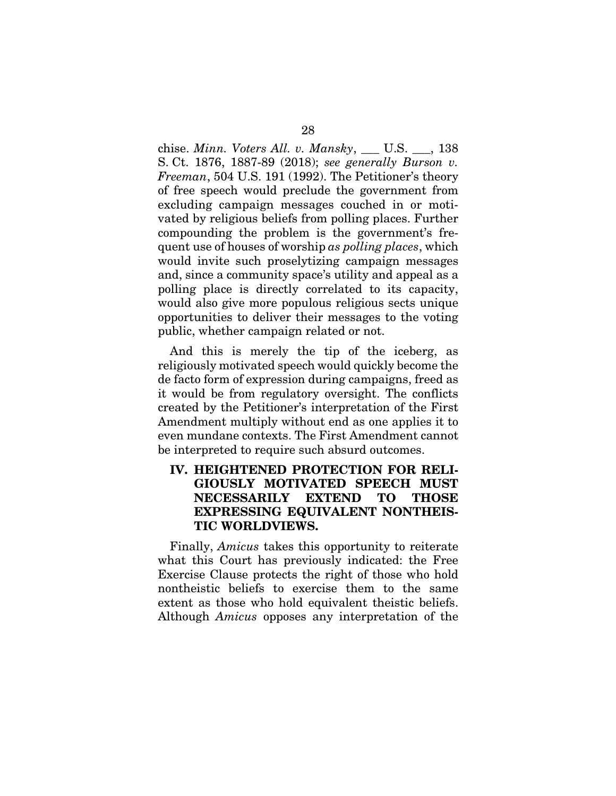chise. *Minn. Voters All. v. Mansky*, \_\_\_ U.S. \_\_\_, 138 S. Ct. 1876, 1887-89 (2018); *see generally Burson v. Freeman*, 504 U.S. 191 (1992). The Petitioner's theory of free speech would preclude the government from excluding campaign messages couched in or motivated by religious beliefs from polling places. Further compounding the problem is the government's frequent use of houses of worship *as polling places*, which would invite such proselytizing campaign messages and, since a community space's utility and appeal as a polling place is directly correlated to its capacity, would also give more populous religious sects unique opportunities to deliver their messages to the voting public, whether campaign related or not.

And this is merely the tip of the iceberg, as religiously motivated speech would quickly become the de facto form of expression during campaigns, freed as it would be from regulatory oversight. The conflicts created by the Petitioner's interpretation of the First Amendment multiply without end as one applies it to even mundane contexts. The First Amendment cannot be interpreted to require such absurd outcomes.

## IV. HEIGHTENED PROTECTION FOR RELI-GIOUSLY MOTIVATED SPEECH MUST NECESSARILY EXTEND TO THOSE EXPRESSING EQUIVALENT NONTHEIS-TIC WORLDVIEWS.

Finally, *Amicus* takes this opportunity to reiterate what this Court has previously indicated: the Free Exercise Clause protects the right of those who hold nontheistic beliefs to exercise them to the same extent as those who hold equivalent theistic beliefs. Although *Amicus* opposes any interpretation of the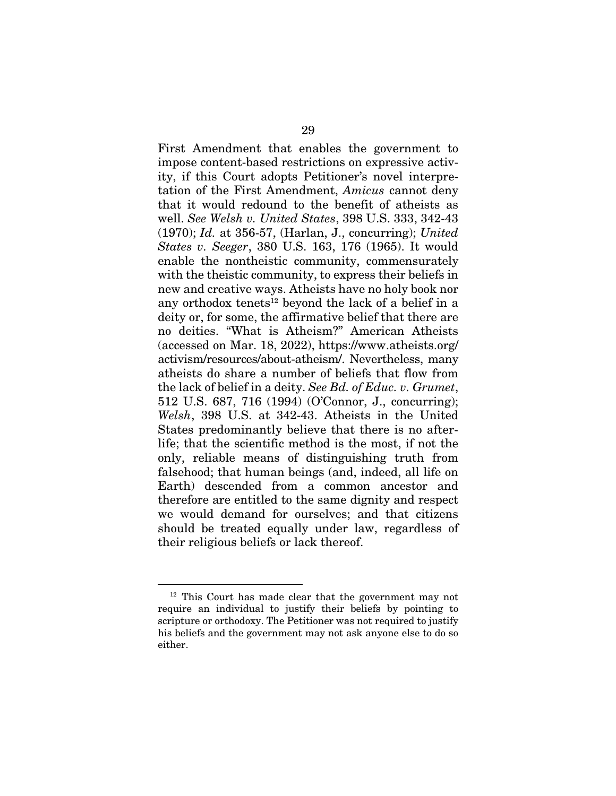First Amendment that enables the government to impose content-based restrictions on expressive activity, if this Court adopts Petitioner's novel interpretation of the First Amendment, *Amicus* cannot deny that it would redound to the benefit of atheists as well. *See Welsh v. United States*, 398 U.S. 333, 342-43 (1970); *Id.* at 356-57, (Harlan, J., concurring); *United States v. Seeger*, 380 U.S. 163, 176 (1965). It would enable the nontheistic community, commensurately with the theistic community, to express their beliefs in new and creative ways. Atheists have no holy book nor any orthodox tenets<sup>12</sup> beyond the lack of a belief in a deity or, for some, the affirmative belief that there are no deities. "What is Atheism?" American Atheists (accessed on Mar. 18, 2022), https://www.atheists.org/ activism/resources/about-atheism/. Nevertheless, many atheists do share a number of beliefs that flow from the lack of belief in a deity. *See Bd. of Educ. v. Grumet*, 512 U.S. 687, 716 (1994) (O'Connor, J., concurring); *Welsh*, 398 U.S. at 342-43. Atheists in the United States predominantly believe that there is no afterlife; that the scientific method is the most, if not the only, reliable means of distinguishing truth from falsehood; that human beings (and, indeed, all life on Earth) descended from a common ancestor and therefore are entitled to the same dignity and respect we would demand for ourselves; and that citizens should be treated equally under law, regardless of their religious beliefs or lack thereof.

<sup>12</sup> This Court has made clear that the government may not require an individual to justify their beliefs by pointing to scripture or orthodoxy. The Petitioner was not required to justify his beliefs and the government may not ask anyone else to do so either.